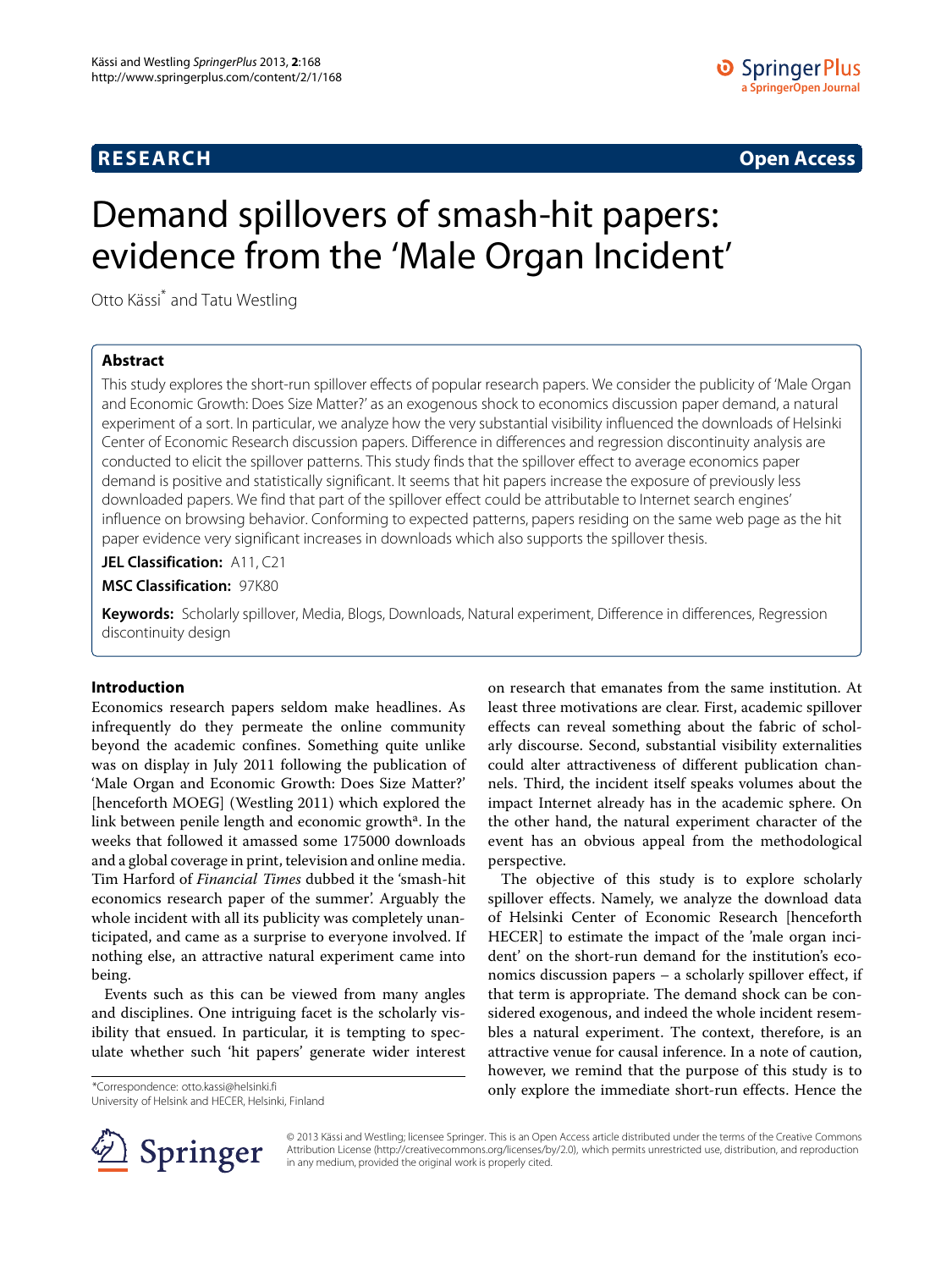**RESEARCH Open Access**

# Demand spillovers of smash-hit papers: evidence from the 'Male Organ Incident'

Otto Kässi\* and Tatu Westling

# **Abstract**

This study explores the short-run spillover effects of popular research papers. We consider the publicity of 'Male Organ and Economic Growth: Does Size Matter?' as an exogenous shock to economics discussion paper demand, a natural experiment of a sort. In particular, we analyze how the very substantial visibility influenced the downloads of Helsinki Center of Economic Research discussion papers. Difference in differences and regression discontinuity analysis are conducted to elicit the spillover patterns. This study finds that the spillover effect to average economics paper demand is positive and statistically significant. It seems that hit papers increase the exposure of previously less downloaded papers. We find that part of the spillover effect could be attributable to Internet search engines' influence on browsing behavior. Conforming to expected patterns, papers residing on the same web page as the hit paper evidence very significant increases in downloads which also supports the spillover thesis.

**JEL Classification:** A11, C21

**MSC Classification:** 97K80

**Keywords:** Scholarly spillover, Media, Blogs, Downloads, Natural experiment, Difference in differences, Regression discontinuity design

## **Introduction**

Economics research papers seldom make headlines. As infrequently do they permeate the online community beyond the academic confines. Something quite unlike was on display in July 2011 following the publication of 'Male Organ and Economic Growth: Does Size Matter?' [henceforth MOEG] (Westling [2011\)](#page-7-0) which explored the link between penile length and economic growth<sup>a</sup>. In the weeks that followed it amassed some 175000 downloads and a global coverage in print, television and online media. Tim Harford of *Financial Times* dubbed it the 'smash-hit economics research paper of the summer'. Arguably the whole incident with all its publicity was completely unanticipated, and came as a surprise to everyone involved. If nothing else, an attractive natural experiment came into being.

Events such as this can be viewed from many angles and disciplines. One intriguing facet is the scholarly visibility that ensued. In particular, it is tempting to speculate whether such 'hit papers' generate wider interest

\*Correspondence: otto.kassi@helsinki.fi University of Helsink and HECER, Helsinki, Finland on research that emanates from the same institution. At least three motivations are clear. First, academic spillover effects can reveal something about the fabric of scholarly discourse. Second, substantial visibility externalities could alter attractiveness of different publication channels. Third, the incident itself speaks volumes about the impact Internet already has in the academic sphere. On the other hand, the natural experiment character of the event has an obvious appeal from the methodological perspective.

The objective of this study is to explore scholarly spillover effects. Namely, we analyze the download data of Helsinki Center of Economic Research [henceforth HECER] to estimate the impact of the 'male organ incident' on the short-run demand for the institution's economics discussion papers – a scholarly spillover effect, if that term is appropriate. The demand shock can be considered exogenous, and indeed the whole incident resembles a natural experiment. The context, therefore, is an attractive venue for causal inference. In a note of caution, however, we remind that the purpose of this study is to only explore the immediate short-run effects. Hence the



© 2013 Kässi and Westling; licensee Springer. This is an Open Access article distributed under the terms of the Creative Commons Attribution License (http://creativecommons.org/licenses/by/2.0), which permits unrestricted use, distribution, and reproduction in any medium, provided the original work is properly cited.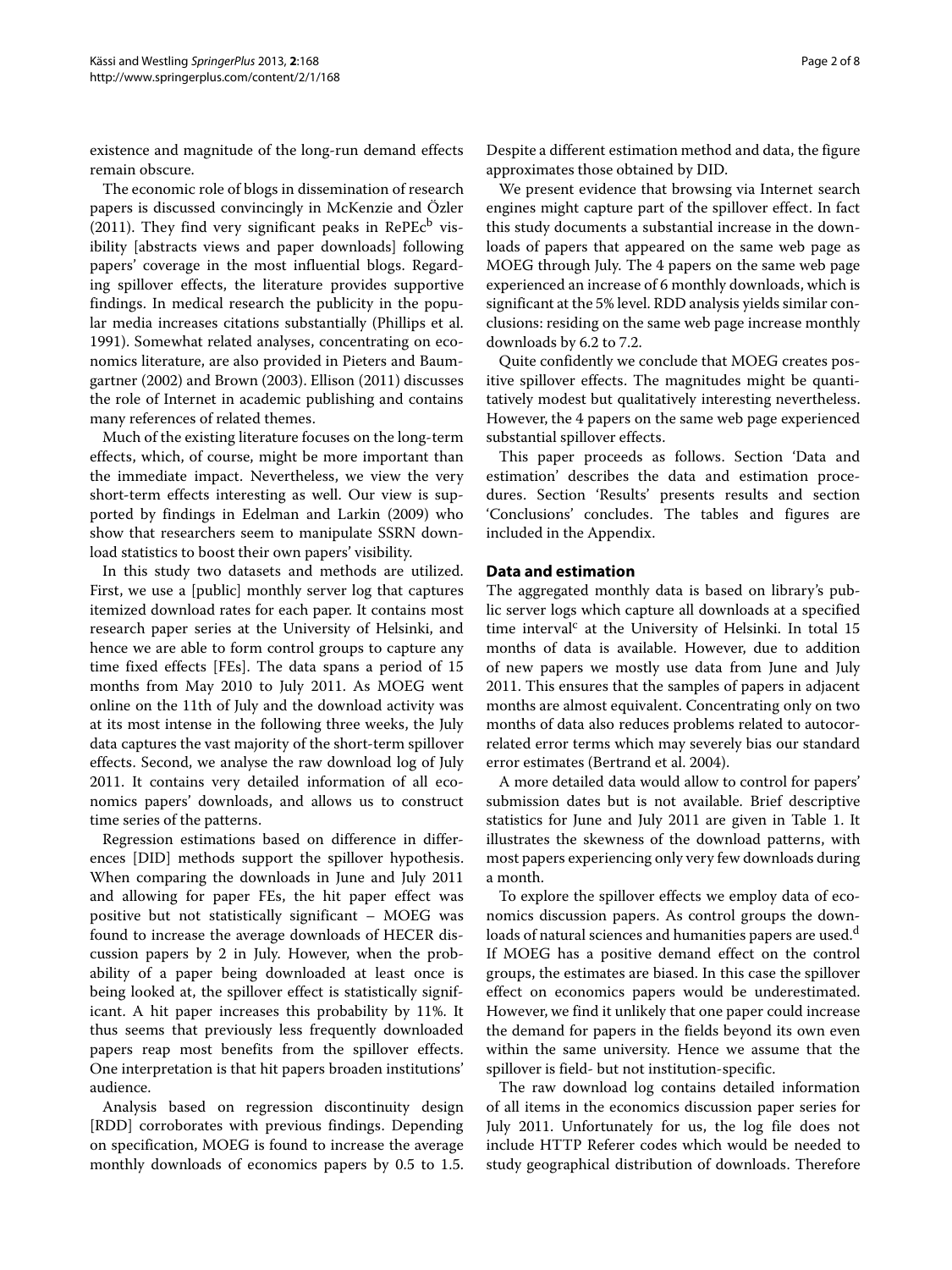existence and magnitude of the long-run demand effects remain obscure.

The economic role of blogs in dissemination of research papers is discussed convincingly in McKenzie and Özler [\(2011\)](#page-7-1). They find very significant peaks in  $RePEC^b$  visibility [abstracts views and paper downloads] following papers' coverage in the most influential blogs. Regarding spillover effects, the literature provides supportive findings. In medical research the publicity in the popular media increases citations substantially (Phillips et al. [1991\)](#page-7-2). Somewhat related analyses, concentrating on economics literature, are also provided in Pieters and Baumgartner [\(2002\)](#page-7-3) and Brown [\(2003\)](#page-7-4). Ellison [\(2011\)](#page-7-5) discusses the role of Internet in academic publishing and contains many references of related themes.

Much of the existing literature focuses on the long-term effects, which, of course, might be more important than the immediate impact. Nevertheless, we view the very short-term effects interesting as well. Our view is supported by findings in Edelman and Larkin [\(2009\)](#page-7-6) who show that researchers seem to manipulate SSRN download statistics to boost their own papers' visibility.

In this study two datasets and methods are utilized. First, we use a [public] monthly server log that captures itemized download rates for each paper. It contains most research paper series at the University of Helsinki, and hence we are able to form control groups to capture any time fixed effects [FEs]. The data spans a period of 15 months from May 2010 to July 2011. As MOEG went online on the 11th of July and the download activity was at its most intense in the following three weeks, the July data captures the vast majority of the short-term spillover effects. Second, we analyse the raw download log of July 2011. It contains very detailed information of all economics papers' downloads, and allows us to construct time series of the patterns.

Regression estimations based on difference in differences [DID] methods support the spillover hypothesis. When comparing the downloads in June and July 2011 and allowing for paper FEs, the hit paper effect was positive but not statistically significant – MOEG was found to increase the average downloads of HECER discussion papers by 2 in July. However, when the probability of a paper being downloaded at least once is being looked at, the spillover effect is statistically significant. A hit paper increases this probability by 11%. It thus seems that previously less frequently downloaded papers reap most benefits from the spillover effects. One interpretation is that hit papers broaden institutions' audience.

Analysis based on regression discontinuity design [RDD] corroborates with previous findings. Depending on specification, MOEG is found to increase the average monthly downloads of economics papers by 0.5 to 1.5. Despite a different estimation method and data, the figure approximates those obtained by DID.

We present evidence that browsing via Internet search engines might capture part of the spillover effect. In fact this study documents a substantial increase in the downloads of papers that appeared on the same web page as MOEG through July. The 4 papers on the same web page experienced an increase of 6 monthly downloads, which is significant at the 5% level. RDD analysis yields similar conclusions: residing on the same web page increase monthly downloads by 6.2 to 7.2.

Quite confidently we conclude that MOEG creates positive spillover effects. The magnitudes might be quantitatively modest but qualitatively interesting nevertheless. However, the 4 papers on the same web page experienced substantial spillover effects.

This pa[per](#page-1-0) [proceeds](#page-1-0) [as](#page-1-0) [follows.](#page-1-0) [Section](#page-1-0) ['](#page-1-0)Data and estimation' describes the data and estimation procedures. Section ['Results'](#page-2-0) presents results and section ['Conclusions'](#page-5-0) concludes. The tables and figures are included in the Appendix.

### <span id="page-1-0"></span>**Data and estimation**

The aggregated monthly data is based on library's public server logs which capture all downloads at a specified time interval<sup>c</sup> at the University of Helsinki. In total  $15$ months of data is available. However, due to addition of new papers we mostly use data from June and July 2011. This ensures that the samples of papers in adjacent months are almost equivalent. Concentrating only on two months of data also reduces problems related to autocorrelated error terms which may severely bias our standard error estimates (Bertrand et al. [2004\)](#page-7-7).

A more detailed data would allow to control for papers' submission dates but is not available. Brief descriptive statistics for June and July 2011 are given in Table [1.](#page-2-1) It illustrates the skewness of the download patterns, with most papers experiencing only very few downloads during a month.

To explore the spillover effects we employ data of economics discussion papers. As control groups the downloads of natural sciences and humanities papers are used.<sup>d</sup> If MOEG has a positive demand effect on the control groups, the estimates are biased. In this case the spillover effect on economics papers would be underestimated. However, we find it unlikely that one paper could increase the demand for papers in the fields beyond its own even within the same university. Hence we assume that the spillover is field- but not institution-specific.

The raw download log contains detailed information of all items in the economics discussion paper series for July 2011. Unfortunately for us, the log file does not include HTTP Referer codes which would be needed to study geographical distribution of downloads. Therefore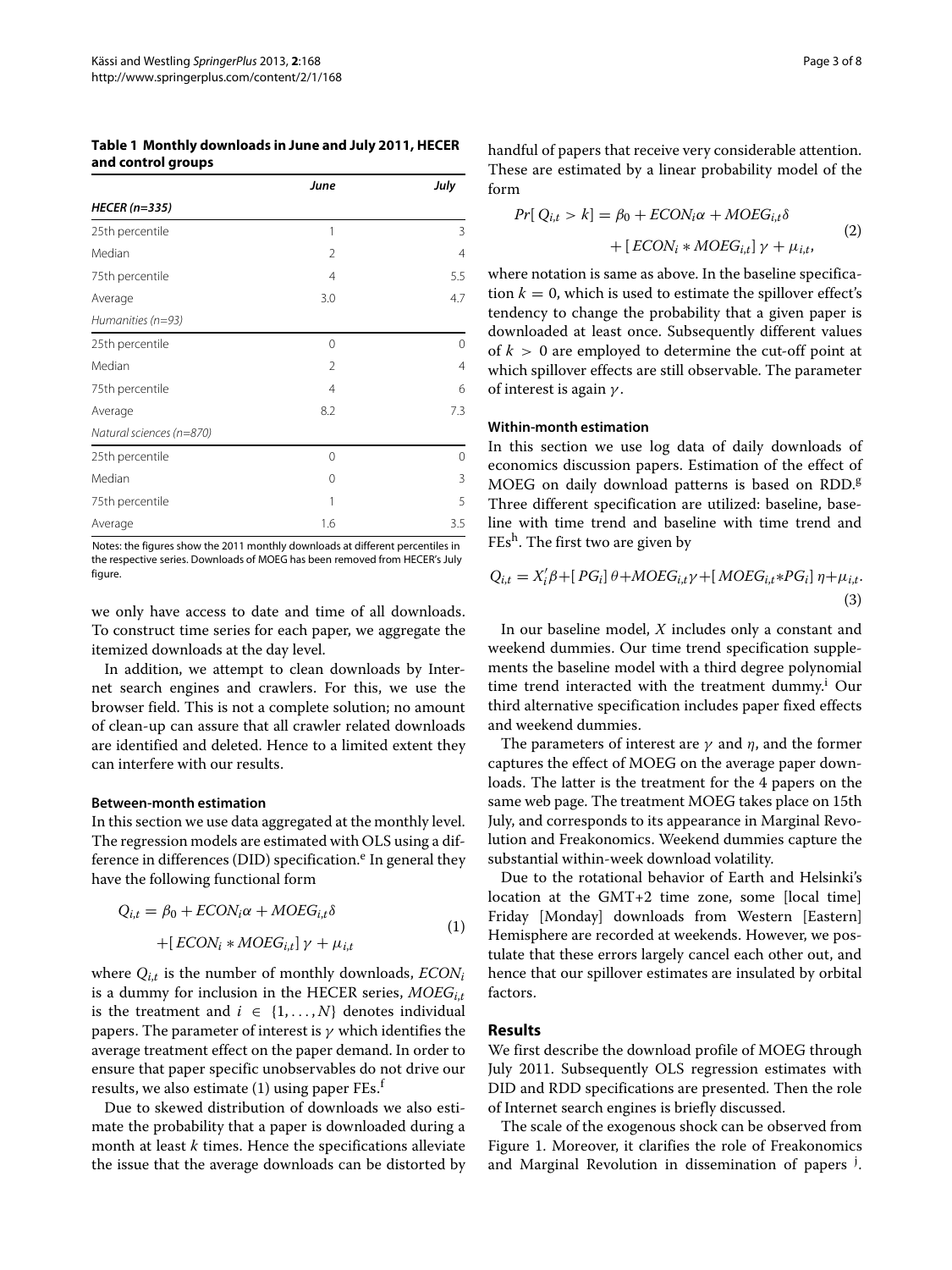<span id="page-2-1"></span>**Table 1 Monthly downloads in June and July 2011, HECER and control groups**

|                          | June           | July           |
|--------------------------|----------------|----------------|
| <b>HECER</b> (n=335)     |                |                |
| 25th percentile          | 1              | 3              |
| Median                   | $\mathfrak{D}$ | $\overline{4}$ |
| 75th percentile          | 4              | 5.5            |
| Average                  | 3.0            | 4.7            |
| Humanities (n=93)        |                |                |
| 25th percentile          | $\Omega$       | 0              |
| Median                   | $\mathfrak{D}$ | $\overline{4}$ |
| 75th percentile          | 4              | 6              |
| Average                  | 8.2            | 7.3            |
| Natural sciences (n=870) |                |                |
| 25th percentile          | 0              | 0              |
| Median                   | 0              | 3              |
| 75th percentile          | 1              | 5              |
| Average                  | 1.6            | 3.5            |

Notes: the figures show the 2011 monthly downloads at different percentiles in the respective series. Downloads of MOEG has been removed from HECER's July figure.

we only have access to date and time of all downloads. To construct time series for each paper, we aggregate the itemized downloads at the day level.

In addition, we attempt to clean downloads by Internet search engines and crawlers. For this, we use the browser field. This is not a complete solution; no amount of clean-up can assure that all crawler related downloads are identified and deleted. Hence to a limited extent they can interfere with our results.

#### **Between-month estimation**

In this section we use data aggregated at the monthly level. The regression models are estimated with OLS using a difference in differences (DID) specification.<sup>e</sup> In general they have the following functional form

$$
Q_{i,t} = \beta_0 + ECON_i\alpha + MOEG_{i,t}\delta
$$
  
+[ECON<sub>i</sub> \* MOEG<sub>i,t</sub>]  $\gamma + \mu_{i,t}$  (1)

where *Qi*,*<sup>t</sup>* is the number of monthly downloads, *ECONi* is a dummy for inclusion in the HECER series, *MOEGi*,*<sup>t</sup>* is the treatment and  $i \in \{1, ..., N\}$  denotes individual papers. The parameter of interest is  $\gamma$  which identifies the average treatment effect on the paper demand. In order to ensure that paper specific unobservables do not drive our results, we also estimate  $(1)$  using paper FEs.<sup>f</sup>

Due to skewed distribution of downloads we also estimate the probability that a paper is downloaded during a month at least *k* times. Hence the specifications alleviate the issue that the average downloads can be distorted by handful of papers that receive very considerable attention. These are estimated by a linear probability model of the form

$$
Pr[Q_{i,t} > k] = \beta_0 + ECON_i\alpha + MOEG_{i,t}\delta
$$

$$
+ [ECON_i * MOEG_{i,t}] \gamma + \mu_{i,t},
$$
(2)

where notation is same as above. In the baseline specification  $k = 0$ , which is used to estimate the spillover effect's tendency to change the probability that a given paper is downloaded at least once. Subsequently different values of  $k > 0$  are employed to determine the cut-off point at which spillover effects are still observable. The parameter of interest is again  $\gamma$ .

#### **Within-month estimation**

In this section we use log data of daily downloads of economics discussion papers. Estimation of the effect of MOEG on daily download patterns is based on RDD.<sup>g</sup> Three different specification are utilized: baseline, baseline with time trend and baseline with time trend and  $FEs<sup>h</sup>$ . The first two are given by

$$
Q_{i,t} = X_i'\beta + [PG_i]\theta + MOEG_{i,t}\gamma + [MOEG_{i,t}*PG_i]\eta + \mu_{i,t}.
$$
\n(3)

In our baseline model, *X* includes only a constant and weekend dummies. Our time trend specification supplements the baseline model with a third degree polynomial time trend interacted with the treatment dummy.<sup>i</sup> Our third alternative specification includes paper fixed effects and weekend dummies.

The parameters of interest are  $\gamma$  and  $\eta$ , and the former captures the effect of MOEG on the average paper downloads. The latter is the treatment for the 4 papers on the same web page. The treatment MOEG takes place on 15th July, and corresponds to its appearance in Marginal Revolution and Freakonomics. Weekend dummies capture the substantial within-week download volatility.

<span id="page-2-2"></span>Due to the rotational behavior of Earth and Helsinki's location at the GMT+2 time zone, some [local time] Friday [Monday] downloads from Western [Eastern] Hemisphere are recorded at weekends. However, we postulate that these errors largely cancel each other out, and hence that our spillover estimates are insulated by orbital factors.

#### <span id="page-2-0"></span>**Results**

We first describe the download profile of MOEG through July 2011. Subsequently OLS regression estimates with DID and RDD specifications are presented. Then the role of Internet search engines is briefly discussed.

The scale of the exogenous shock can be observed from Figure [1.](#page-3-0) Moreover, it clarifies the role of Freakonomics and Marginal Revolution in dissemination of papers <sup>j</sup>.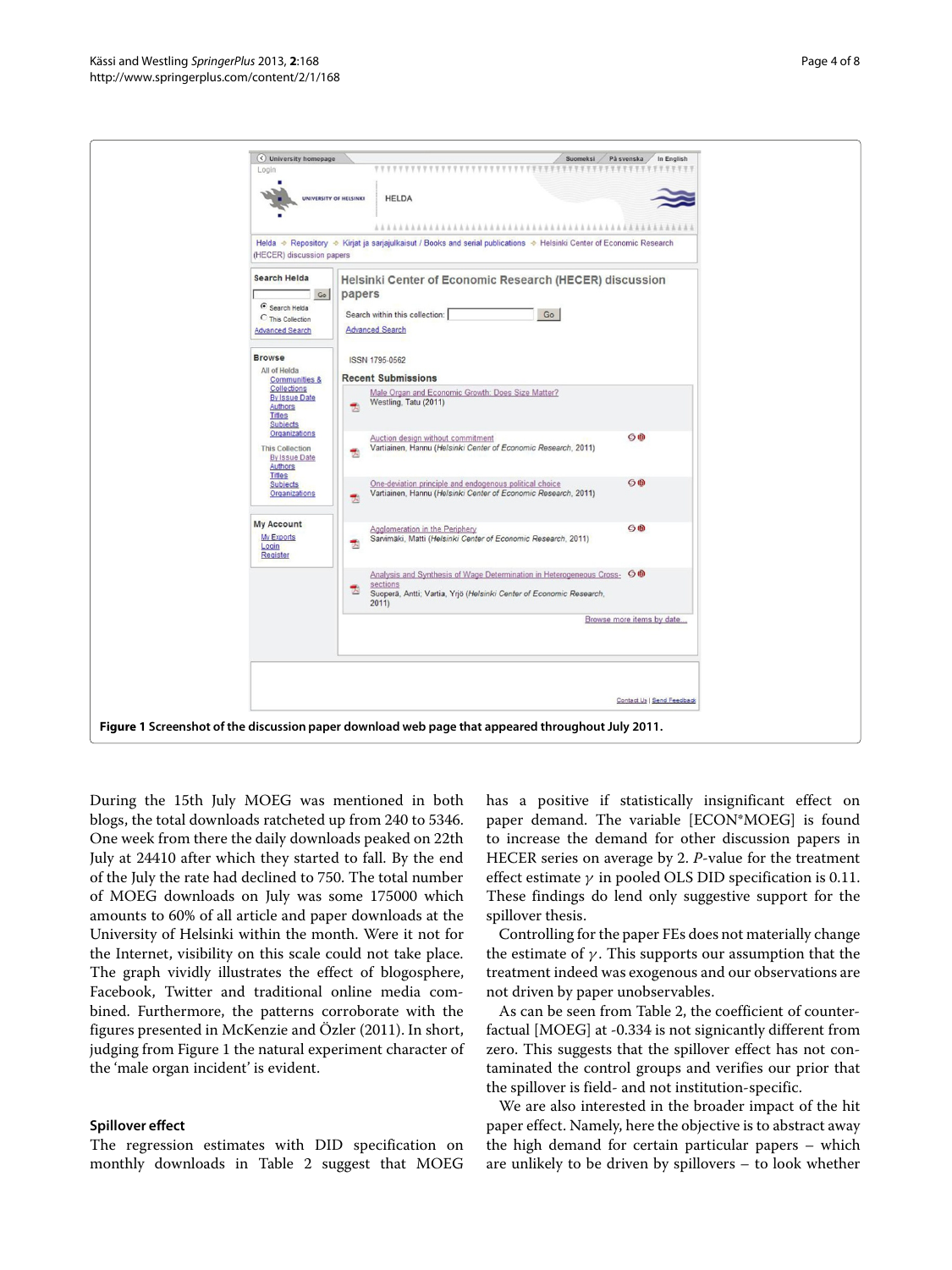

<span id="page-3-0"></span>During the 15th July MOEG was mentioned in both blogs, the total downloads ratcheted up from 240 to 5346. One week from there the daily downloads peaked on 22th July at 24410 after which they started to fall. By the end of the July the rate had declined to 750. The total number of MOEG downloads on July was some 175000 which amounts to 60% of all article and paper downloads at the University of Helsinki within the month. Were it not for the Internet, visibility on this scale could not take place. The graph vividly illustrates the effect of blogosphere, Facebook, Twitter and traditional online media combined. Furthermore, the patterns corroborate with the figures presented in McKenzie and Özler [\(2011\)](#page-7-1). In short, judging from Figure [1](#page-3-0) the natural experiment character of the 'male organ incident' is evident.

## **Spillover effect**

The regression estimates with DID specification on monthly downloads in Table [2](#page-4-0) suggest that MOEG

has a positive if statistically insignificant effect on paper demand. The variable [ECON\*MOEG] is found to increase the demand for other discussion papers in HECER series on average by 2. *P*-value for the treatment effect estimate  $\gamma$  in pooled OLS DID specification is 0.11. These findings do lend only suggestive support for the spillover thesis.

Controlling for the paper FEs does not materially change the estimate of  $\gamma$ . This supports our assumption that the treatment indeed was exogenous and our observations are not driven by paper unobservables.

As can be seen from Table [2,](#page-4-0) the coefficient of counterfactual [MOEG] at -0.334 is not signicantly different from zero. This suggests that the spillover effect has not contaminated the control groups and verifies our prior that the spillover is field- and not institution-specific.

We are also interested in the broader impact of the hit paper effect. Namely, here the objective is to abstract away the high demand for certain particular papers – which are unlikely to be driven by spillovers – to look whether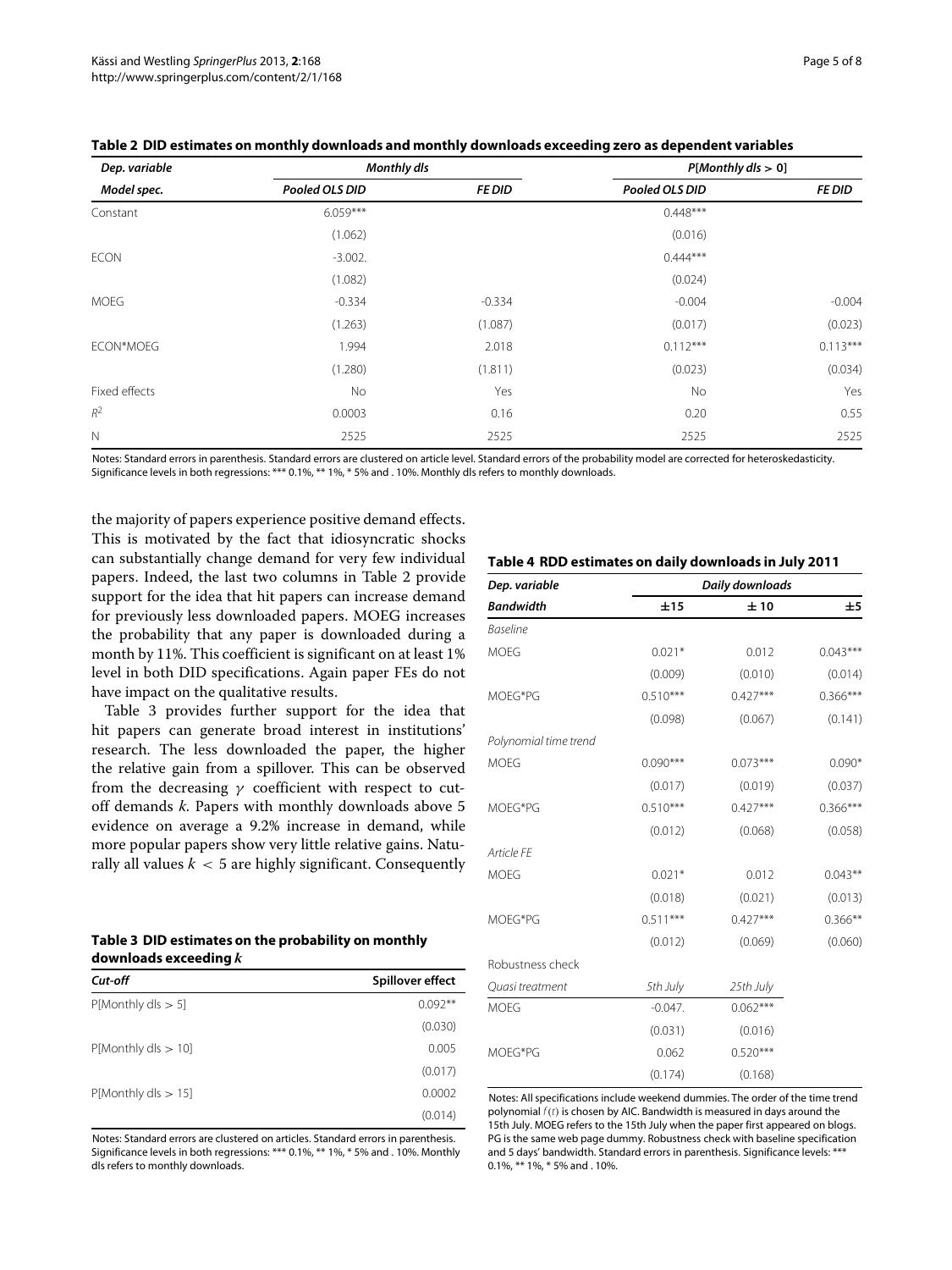<span id="page-4-0"></span>

| Dep. variable |                | <b>Monthly dls</b> |                | $P[Monthly\,ds > 0]$ |  |
|---------------|----------------|--------------------|----------------|----------------------|--|
| Model spec.   | Pooled OLS DID | FE DID             | Pooled OLS DID | <b>FE DID</b>        |  |
| Constant      | $6.059***$     |                    | $0.448***$     |                      |  |
|               | (1.062)        |                    | (0.016)        |                      |  |
| <b>ECON</b>   | $-3.002.$      |                    | $0.444***$     |                      |  |
|               | (1.082)        |                    | (0.024)        |                      |  |
| <b>MOEG</b>   | $-0.334$       | $-0.334$           | $-0.004$       | $-0.004$             |  |
|               | (1.263)        | (1.087)            | (0.017)        | (0.023)              |  |
| ECON*MOEG     | 1.994          | 2.018              | $0.112***$     | $0.113***$           |  |
|               | (1.280)        | (1.811)            | (0.023)        | (0.034)              |  |
| Fixed effects | No             | Yes                | No             | Yes                  |  |
| $R^2$         | 0.0003         | 0.16               | 0.20           | 0.55                 |  |
| $\mathbb N$   | 2525           | 2525               | 2525           | 2525                 |  |

| Table 2 DID estimates on monthly downloads and monthly downloads exceeding zero as dependent variables |  |  |  |
|--------------------------------------------------------------------------------------------------------|--|--|--|
|--------------------------------------------------------------------------------------------------------|--|--|--|

Notes: Standard errors in parenthesis. Standard errors are clustered on article level. Standard errors of the probability model are corrected for heteroskedasticity. Significance levels in both regressions: \*\*\* 0.1%, \*\* 1%, \* 5% and . 10%. Monthly dls refers to monthly downloads.

the majority of papers experience positive demand effects. This is motivated by the fact that idiosyncratic shocks can substantially change demand for very few individual papers. Indeed, the last two columns in Table [2](#page-4-0) provide support for the idea that hit papers can increase demand for previously less downloaded papers. MOEG increases the probability that any paper is downloaded during a month by 11%. This coefficient is significant on at least 1% level in both DID specifications. Again paper FEs do not have impact on the qualitative results.

Table [3](#page-4-1) provides further support for the idea that hit papers can generate broad interest in institutions' research. The less downloaded the paper, the higher the relative gain from a spillover. This can be observed from the decreasing  $\gamma$  coefficient with respect to cutoff demands *k*. Papers with monthly downloads above 5 evidence on average a 9.2% increase in demand, while more popular papers show very little relative gains. Naturally all values  $k < 5$  are highly significant. Consequently

<span id="page-4-1"></span>

| Table 3 DID estimates on the probability on monthly |
|-----------------------------------------------------|
| downloads exceeding $k$                             |

| --------                |                  |  |
|-------------------------|------------------|--|
| Cut-off                 | Spillover effect |  |
| $P[Monthly$ dls $>$ 5]  | $0.092**$        |  |
|                         | (0.030)          |  |
| $P[Monthly$ dls $> 10]$ | 0.005            |  |
|                         | (0.017)          |  |
| $P[Monthly$ dls $> 15]$ | 0.0002           |  |
|                         | (0.014)          |  |
|                         |                  |  |

Notes: Standard errors are clustered on articles. Standard errors in parenthesis. Significance levels in both regressions: \*\*\* 0.1%, \*\* 1%, \* 5% and . 10%. Monthly dls refers to monthly downloads.

#### **Table 4 RDD estimates on daily downloads in July 2011**

<span id="page-4-2"></span>

| Dep. variable         | Daily downloads |            |            |  |
|-----------------------|-----------------|------------|------------|--|
| <b>Bandwidth</b>      | ±15             | ±10        | ±5         |  |
| <b>Baseline</b>       |                 |            |            |  |
| <b>MOEG</b>           | $0.021*$        | 0.012      | $0.043***$ |  |
|                       | (0.009)         | (0.010)    | (0.014)    |  |
| MOEG*PG               | $0.510***$      | $0.427***$ | $0.366***$ |  |
|                       | (0.098)         | (0.067)    | (0.141)    |  |
| Polynomial time trend |                 |            |            |  |
| <b>MOEG</b>           | $0.090***$      | $0.073***$ | $0.090*$   |  |
|                       | (0.017)         | (0.019)    | (0.037)    |  |
| MOEG*PG               | $0.510***$      | $0.427***$ | $0.366***$ |  |
|                       | (0.012)         | (0.068)    | (0.058)    |  |
| Article FE            |                 |            |            |  |
| <b>MOEG</b>           | $0.021*$        | 0.012      | $0.043**$  |  |
|                       | (0.018)         | (0.021)    | (0.013)    |  |
| MOEG*PG               | $0.511***$      | $0.427***$ | $0.366**$  |  |
|                       | (0.012)         | (0.069)    | (0.060)    |  |
| Robustness check      |                 |            |            |  |
| Quasi treatment       | 5th July        | 25th July  |            |  |
| <b>MOEG</b>           | $-0.047$ .      | $0.062***$ |            |  |
|                       | (0.031)         | (0.016)    |            |  |
| MOEG*PG               | 0.062           | $0.520***$ |            |  |
|                       | (0.174)         | (0.168)    |            |  |

Notes: All specifications include weekend dummies. The order of the time trend polynomial *f*(*t*) is chosen by AIC. Bandwidth is measured in days around the 15th July. MOEG refers to the 15th July when the paper first appeared on blogs. PG is the same web page dummy. Robustness check with baseline specification and 5 days' bandwidth. Standard errors in parenthesis. Significance levels: \*\*\* 0.1%,  $**$  1%,  $*$  5% and . 10%.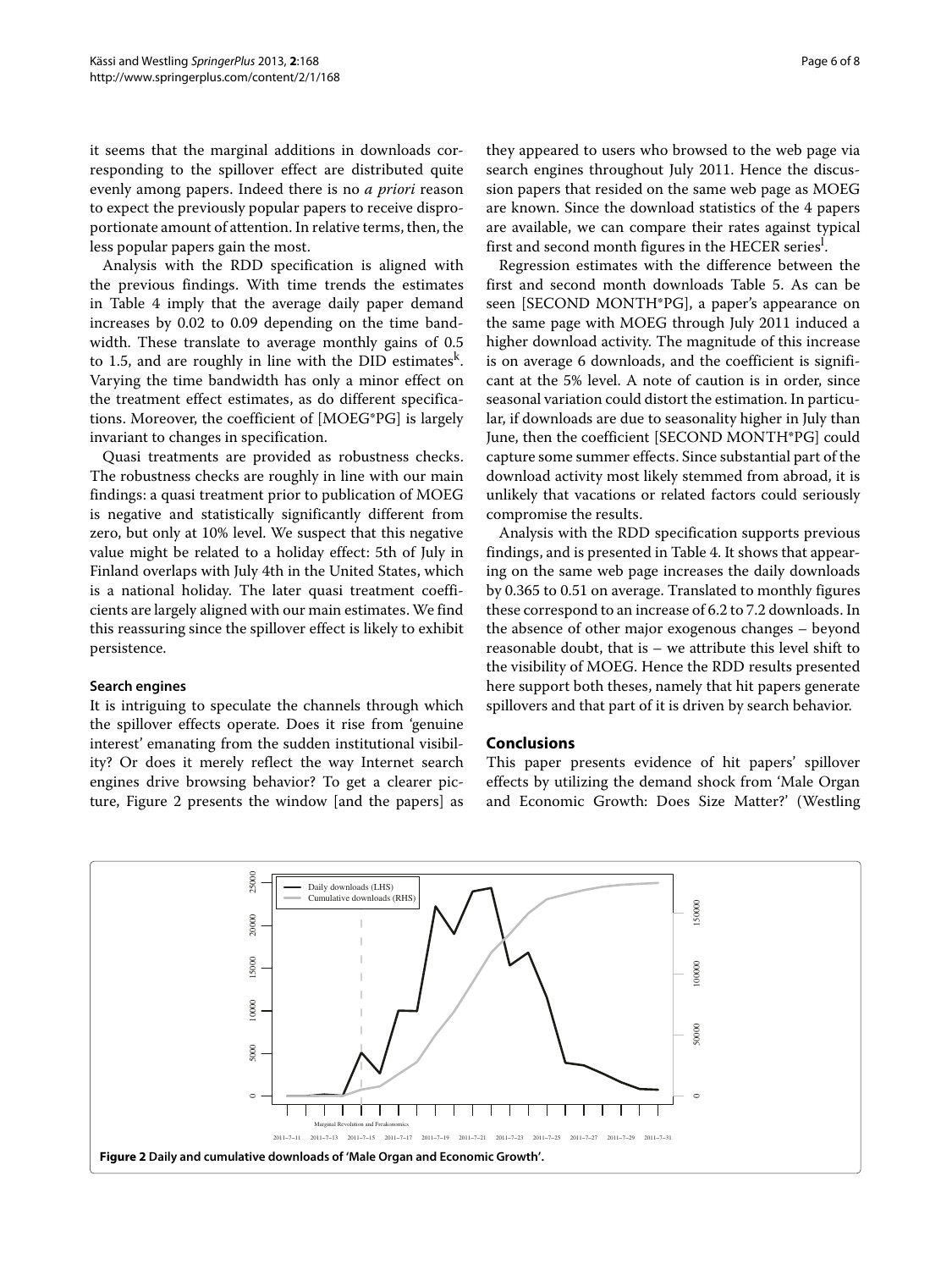it seems that the marginal additions in downloads corresponding to the spillover effect are distributed quite evenly among papers. Indeed there is no *a priori* reason to expect the previously popular papers to receive disproportionate amount of attention. In relative terms, then, the less popular papers gain the most.

Analysis with the RDD specification is aligned with the previous findings. With time trends the estimates in Table [4](#page-4-2) imply that the average daily paper demand increases by 0.02 to 0.09 depending on the time bandwidth. These translate to average monthly gains of 0.5 to 1.5, and are roughly in line with the DID estimates<sup>k</sup>. Varying the time bandwidth has only a minor effect on the treatment effect estimates, as do different specifications. Moreover, the coefficient of [MOEG\*PG] is largely invariant to changes in specification.

Quasi treatments are provided as robustness checks. The robustness checks are roughly in line with our main findings: a quasi treatment prior to publication of MOEG is negative and statistically significantly different from zero, but only at 10% level. We suspect that this negative value might be related to a holiday effect: 5th of July in Finland overlaps with July 4th in the United States, which is a national holiday. The later quasi treatment coefficients are largely aligned with our main estimates. We find this reassuring since the spillover effect is likely to exhibit persistence.

#### **Search engines**

It is intriguing to speculate the channels through which the spillover effects operate. Does it rise from 'genuine interest' emanating from the sudden institutional visibility? Or does it merely reflect the way Internet search engines drive browsing behavior? To get a clearer picture, Figure [2](#page-5-1) presents the window [and the papers] as

they appeared to users who browsed to the web page via search engines throughout July 2011. Hence the discussion papers that resided on the same web page as MOEG are known. Since the download statistics of the 4 papers are available, we can compare their rates against typical first and second month figures in the HECER series $^{\rm l}$ .

Regression estimates with the difference between the first and second month downloads Table [5.](#page-6-0) As can be seen [SECOND MONTH\*PG], a paper's appearance on the same page with MOEG through July 2011 induced a higher download activity. The magnitude of this increase is on average 6 downloads, and the coefficient is significant at the 5% level. A note of caution is in order, since seasonal variation could distort the estimation. In particular, if downloads are due to seasonality higher in July than June, then the coefficient [SECOND MONTH\*PG] could capture some summer effects. Since substantial part of the download activity most likely stemmed from abroad, it is unlikely that vacations or related factors could seriously compromise the results.

Analysis with the RDD specification supports previous findings, and is presented in Table [4.](#page-4-2) It shows that appearing on the same web page increases the daily downloads by 0.365 to 0.51 on average. Translated to monthly figures these correspond to an increase of 6.2 to 7.2 downloads. In the absence of other major exogenous changes – beyond reasonable doubt, that is – we attribute this level shift to the visibility of MOEG. Hence the RDD results presented here support both theses, namely that hit papers generate spillovers and that part of it is driven by search behavior.

#### <span id="page-5-0"></span>**Conclusions**

This paper presents evidence of hit papers' spillover effects by utilizing the demand shock from 'Male Organ and Economic Growth: Does Size Matter?' (Westling

<span id="page-5-1"></span>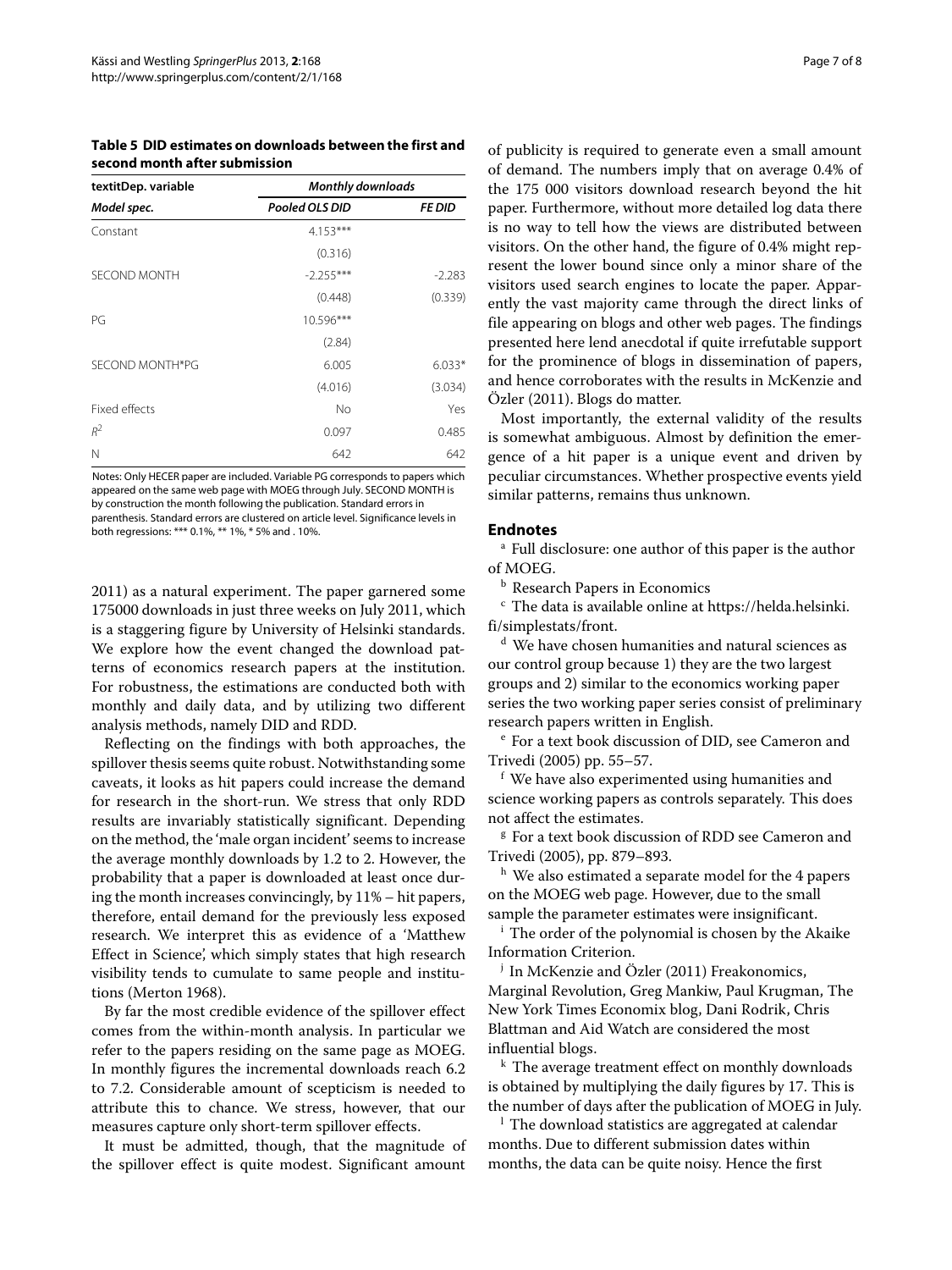<span id="page-6-0"></span>**Table 5 DID estimates on downloads between the first and second month after submission**

| textitDep. variable | <b>Monthly downloads</b> |               |  |
|---------------------|--------------------------|---------------|--|
| Model spec.         | Pooled OLS DID           | <b>FE DID</b> |  |
| Constant            | $4.153***$               |               |  |
|                     | (0.316)                  |               |  |
| <b>SECOND MONTH</b> | $-2.255***$              | $-2.283$      |  |
|                     | (0.448)                  | (0.339)       |  |
| PG                  | 10.596***                |               |  |
|                     | (2.84)                   |               |  |
| SECOND MONTH*PG     | 6.005                    | $6.033*$      |  |
|                     | (4.016)                  | (3.034)       |  |
| Fixed effects       | No                       | Yes           |  |
| $R^2$               | 0.097                    | 0.485         |  |
| Ν                   | 642                      | 642           |  |

Notes: Only HECER paper are included. Variable PG corresponds to papers which appeared on the same web page with MOEG through July. SECOND MONTH is by construction the month following the publication. Standard errors in parenthesis. Standard errors are clustered on article level. Significance levels in both regressions: \*\*\* 0.1%, \*\* 1%, \* 5% and . 10%.

[2011\)](#page-7-0) as a natural experiment. The paper garnered some 175000 downloads in just three weeks on July 2011, which is a staggering figure by University of Helsinki standards. We explore how the event changed the download patterns of economics research papers at the institution. For robustness, the estimations are conducted both with monthly and daily data, and by utilizing two different analysis methods, namely DID and RDD.

Reflecting on the findings with both approaches, the spillover thesis seems quite robust. Notwithstanding some caveats, it looks as hit papers could increase the demand for research in the short-run. We stress that only RDD results are invariably statistically significant. Depending on the method, the 'male organ incident' seems to increase the average monthly downloads by 1.2 to 2. However, the probability that a paper is downloaded at least once during the month increases convincingly, by 11% – hit papers, therefore, entail demand for the previously less exposed research. We interpret this as evidence of a 'Matthew Effect in Science', which simply states that high research visibility tends to cumulate to same people and institutions (Merton [1968\)](#page-7-8).

By far the most credible evidence of the spillover effect comes from the within-month analysis. In particular we refer to the papers residing on the same page as MOEG. In monthly figures the incremental downloads reach 6.2 to 7.2. Considerable amount of scepticism is needed to attribute this to chance. We stress, however, that our measures capture only short-term spillover effects.

It must be admitted, though, that the magnitude of the spillover effect is quite modest. Significant amount

of publicity is required to generate even a small amount of demand. The numbers imply that on average 0.4% of the 175 000 visitors download research beyond the hit paper. Furthermore, without more detailed log data there is no way to tell how the views are distributed between visitors. On the other hand, the figure of 0.4% might represent the lower bound since only a minor share of the visitors used search engines to locate the paper. Apparently the vast majority came through the direct links of file appearing on blogs and other web pages. The findings presented here lend anecdotal if quite irrefutable support for the prominence of blogs in dissemination of papers, and hence corroborates with the results in McKenzie and Özler [\(2011\)](#page-7-1). Blogs do matter.

Most importantly, the external validity of the results is somewhat ambiguous. Almost by definition the emergence of a hit paper is a unique event and driven by peculiar circumstances. Whether prospective events yield similar patterns, remains thus unknown.

### **Endnotes**

<sup>a</sup> Full disclosure: one author of this paper is the author of MOEG.

**b** Research Papers in Economics

<sup>c</sup> The data is available online at [https://helda.helsinki.](https://helda.helsinki.fi/simplestats/front) [fi/simplestats/front.](https://helda.helsinki.fi/simplestats/front)

<sup>d</sup> We have chosen humanities and natural sciences as our control group because 1) they are the two largest groups and 2) similar to the economics working paper series the two working paper series consist of preliminary research papers written in English.

<sup>e</sup> For a text book discussion of DID, see Cameron and Trivedi [\(2005\)](#page-7-9) pp. 55–57.

<sup>f</sup> We have also experimented using humanities and science working papers as controls separately. This does not affect the estimates.

<sup>g</sup> For a text book discussion of RDD see Cameron and Trivedi [\(2005\)](#page-7-9), pp. 879–893.

<sup>h</sup> We also estimated a separate model for the 4 papers on the MOEG web page. However, due to the small sample the parameter estimates were insignificant.

<sup>i</sup> The order of the polynomial is chosen by the Akaike Information Criterion.

<sup>j</sup> In McKenzie and Özler [\(2011\)](#page-7-1) Freakonomics, Marginal Revolution, Greg Mankiw, Paul Krugman, The New York Times Economix blog, Dani Rodrik, Chris Blattman and Aid Watch are considered the most influential blogs.

 $k$  The average treatment effect on monthly downloads is obtained by multiplying the daily figures by 17. This is the number of days after the publication of MOEG in July.

<sup>1</sup> The download statistics are aggregated at calendar months. Due to different submission dates within months, the data can be quite noisy. Hence the first